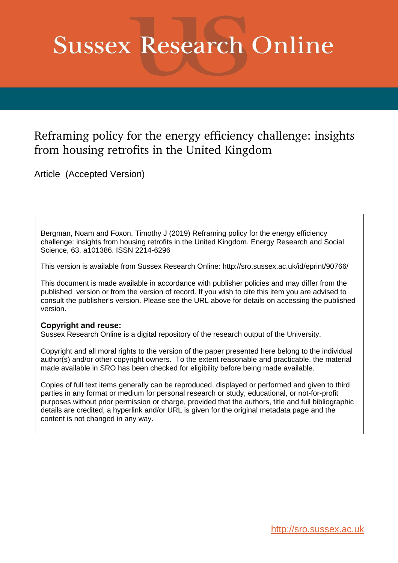# **Sussex Research Online**

# Reframing policy for the energy efficiency challenge: insights from housing retrofits in the United Kingdom

Article (Accepted Version)

Bergman, Noam and Foxon, Timothy J (2019) Reframing policy for the energy efficiency challenge: insights from housing retrofits in the United Kingdom. Energy Research and Social Science, 63. a101386. ISSN 2214-6296

This version is available from Sussex Research Online: http://sro.sussex.ac.uk/id/eprint/90766/

This document is made available in accordance with publisher policies and may differ from the published version or from the version of record. If you wish to cite this item you are advised to consult the publisher's version. Please see the URL above for details on accessing the published version.

#### **Copyright and reuse:**

Sussex Research Online is a digital repository of the research output of the University.

Copyright and all moral rights to the version of the paper presented here belong to the individual author(s) and/or other copyright owners. To the extent reasonable and practicable, the material made available in SRO has been checked for eligibility before being made available.

Copies of full text items generally can be reproduced, displayed or performed and given to third parties in any format or medium for personal research or study, educational, or not-for-profit purposes without prior permission or charge, provided that the authors, title and full bibliographic details are credited, a hyperlink and/or URL is given for the original metadata page and the content is not changed in any way.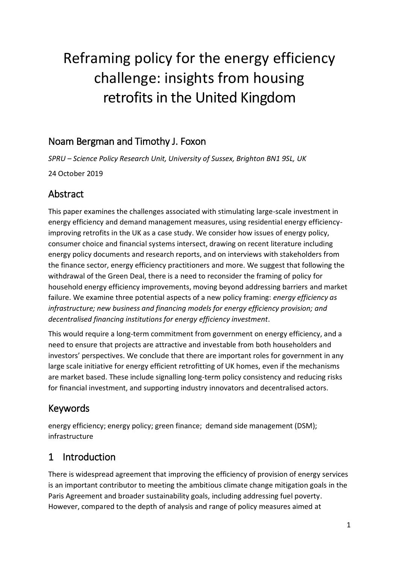# Reframing policy for the energy efficiency challenge: insights from housing retrofits in the United Kingdom

# Noam Bergman and Timothy J. Foxon

*SPRU – Science Policy Research Unit, University of Sussex, Brighton BN1 9SL, UK* 24 October 2019

# Abstract

This paper examines the challenges associated with stimulating large-scale investment in energy efficiency and demand management measures, using residential energy efficiencyimproving retrofits in the UK as a case study. We consider how issues of energy policy, consumer choice and financial systems intersect, drawing on recent literature including energy policy documents and research reports, and on interviews with stakeholders from the finance sector, energy efficiency practitioners and more. We suggest that following the withdrawal of the Green Deal, there is a need to reconsider the framing of policy for household energy efficiency improvements, moving beyond addressing barriers and market failure. We examine three potential aspects of a new policy framing: *energy efficiency as infrastructure; new business and financing models for energy efficiency provision; and decentralised financing institutions for energy efficiency investment*.

This would require a long-term commitment from government on energy efficiency, and a need to ensure that projects are attractive and investable from both householders and investors' perspectives. We conclude that there are important roles for government in any large scale initiative for energy efficient retrofitting of UK homes, even if the mechanisms are market based. These include signalling long-term policy consistency and reducing risks for financial investment, and supporting industry innovators and decentralised actors.

# Keywords

energy efficiency; energy policy; green finance; demand side management (DSM); infrastructure

# 1 Introduction

There is widespread agreement that improving the efficiency of provision of energy services is an important contributor to meeting the ambitious climate change mitigation goals in the Paris Agreement and broader sustainability goals, including addressing fuel poverty. However, compared to the depth of analysis and range of policy measures aimed at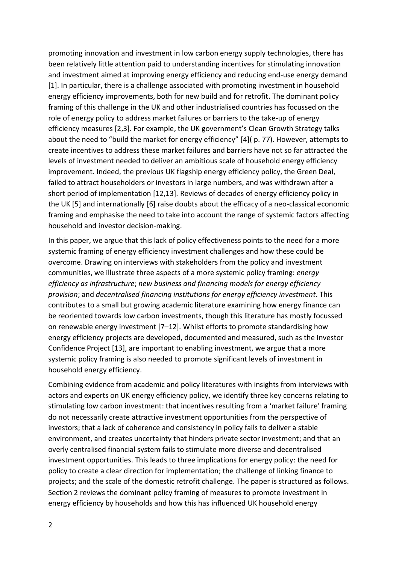promoting innovation and investment in low carbon energy supply technologies, there has been relatively little attention paid to understanding incentives for stimulating innovation and investment aimed at improving energy efficiency and reducing end-use energy demand [1]. In particular, there is a challenge associated with promoting investment in household energy efficiency improvements, both for new build and for retrofit. The dominant policy framing of this challenge in the UK and other industrialised countries has focussed on the role of energy policy to address market failures or barriers to the take-up of energy efficiency measures [2,3]. For example, the UK government's Clean Growth Strategy talks about the need to "build the market for energy efficiency" [4]( p. 77). However, attempts to create incentives to address these market failures and barriers have not so far attracted the levels of investment needed to deliver an ambitious scale of household energy efficiency improvement. Indeed, the previous UK flagship energy efficiency policy, the Green Deal, failed to attract householders or investors in large numbers, and was withdrawn after a short period of implementation [12,13]. Reviews of decades of energy efficiency policy in the UK [5] and internationally [6] raise doubts about the efficacy of a neo-classical economic framing and emphasise the need to take into account the range of systemic factors affecting household and investor decision-making.

In this paper, we argue that this lack of policy effectiveness points to the need for a more systemic framing of energy efficiency investment challenges and how these could be overcome. Drawing on interviews with stakeholders from the policy and investment communities, we illustrate three aspects of a more systemic policy framing: *energy efficiency as infrastructure*; *new business and financing models for energy efficiency provision*; and *decentralised financing institutions for energy efficiency investment*. This contributes to a small but growing academic literature examining how energy finance can be reoriented towards low carbon investments, though this literature has mostly focussed on renewable energy investment [7–12]. Whilst efforts to promote standardising how energy efficiency projects are developed, documented and measured, such as the Investor Confidence Project [13], are important to enabling investment, we argue that a more systemic policy framing is also needed to promote significant levels of investment in household energy efficiency.

Combining evidence from academic and policy literatures with insights from interviews with actors and experts on UK energy efficiency policy, we identify three key concerns relating to stimulating low carbon investment: that incentives resulting from a 'market failure' framing do not necessarily create attractive investment opportunities from the perspective of investors; that a lack of coherence and consistency in policy fails to deliver a stable environment, and creates uncertainty that hinders private sector investment; and that an overly centralised financial system fails to stimulate more diverse and decentralised investment opportunities. This leads to three implications for energy policy: the need for policy to create a clear direction for implementation; the challenge of linking finance to projects; and the scale of the domestic retrofit challenge. The paper is structured as follows. Section 2 reviews the dominant policy framing of measures to promote investment in energy efficiency by households and how this has influenced UK household energy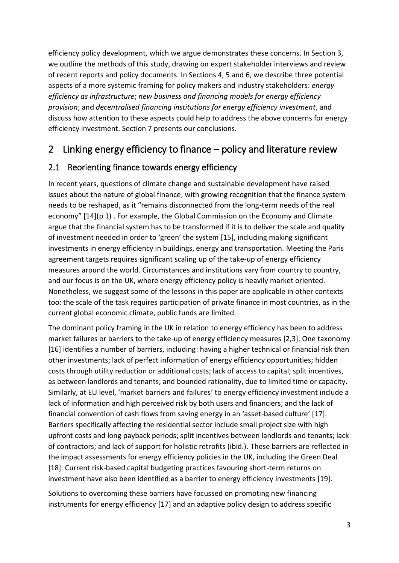efficiency policy development, which we argue demonstrates these concerns. In Section 3, we outline the methods of this study, drawing on expert stakeholder interviews and review of recent reports and policy documents. In Sections 4, 5 and 6, we describe three potential aspects of a more systemic framing for policy makers and industry stakeholders: *energy efficiency as infrastructure*; *new business and financing models for energy efficiency provision*; and *decentralised financing institutions for energy efficiency investment*, and discuss how attention to these aspects could help to address the above concerns for energy efficiency investment. Section 7 presents our conclusions.

# 2 Linking energy efficiency to finance – policy and literature review

### 2.1 Reorienting finance towards energy efficiency

In recent years, questions of climate change and sustainable development have raised issues about the nature of global finance, with growing recognition that the finance system needs to be reshaped, as it "remains disconnected from the long-term needs of the real economy" [14](p 1) . For example, the Global Commission on the Economy and Climate argue that the financial system has to be transformed if it is to deliver the scale and quality of investment needed in order to 'green' the system [15], including making significant investments in energy efficiency in buildings, energy and transportation. Meeting the Paris agreement targets requires significant scaling up of the take-up of energy efficiency measures around the world. Circumstances and institutions vary from country to country, and our focus is on the UK, where energy efficiency policy is heavily market oriented. Nonetheless, we suggest some of the lessons in this paper are applicable in other contexts too: the scale of the task requires participation of private finance in most countries, as in the current global economic climate, public funds are limited.

The dominant policy framing in the UK in relation to energy efficiency has been to address market failures or barriers to the take-up of energy efficiency measures [2,3]. One taxonomy [16] identifies a number of barriers, including: having a higher technical or financial risk than other investments; lack of perfect information of energy efficiency opportunities; hidden costs through utility reduction or additional costs; lack of access to capital; split incentives, as between landlords and tenants; and bounded rationality, due to limited time or capacity. Similarly, at EU level, 'market barriers and failures' to energy efficiency investment include a lack of information and high perceived risk by both users and financiers; and the lack of financial convention of cash flows from saving energy in an 'asset-based culture' [17]. Barriers specifically affecting the residential sector include small project size with high upfront costs and long payback periods; split incentives between landlords and tenants; lack of contractors; and lack of support for holistic retrofits (ibid.). These barriers are reflected in the impact assessments for energy efficiency policies in the UK, including the Green Deal [18]. Current risk-based capital budgeting practices favouring short-term returns on investment have also been identified as a barrier to energy efficiency investments [19].

Solutions to overcoming these barriers have focussed on promoting new financing instruments for energy efficiency [17] and an adaptive policy design to address specific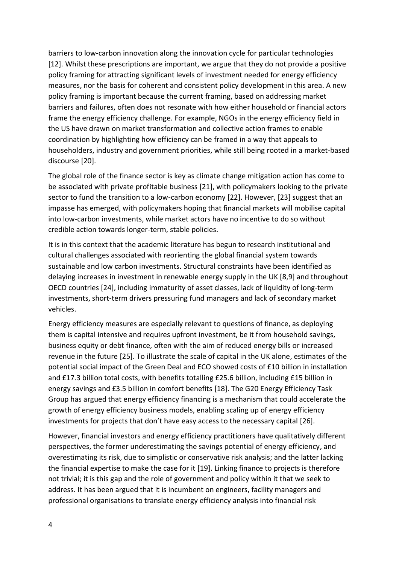barriers to low-carbon innovation along the innovation cycle for particular technologies [12]. Whilst these prescriptions are important, we argue that they do not provide a positive policy framing for attracting significant levels of investment needed for energy efficiency measures, nor the basis for coherent and consistent policy development in this area. A new policy framing is important because the current framing, based on addressing market barriers and failures, often does not resonate with how either household or financial actors frame the energy efficiency challenge. For example, NGOs in the energy efficiency field in the US have drawn on market transformation and collective action frames to enable coordination by highlighting how efficiency can be framed in a way that appeals to householders, industry and government priorities, while still being rooted in a market-based discourse [20].

The global role of the finance sector is key as climate change mitigation action has come to be associated with private profitable business [21], with policymakers looking to the private sector to fund the transition to a low-carbon economy [22]. However, [23] suggest that an impasse has emerged, with policymakers hoping that financial markets will mobilise capital into low-carbon investments, while market actors have no incentive to do so without credible action towards longer-term, stable policies.

It is in this context that the academic literature has begun to research institutional and cultural challenges associated with reorienting the global financial system towards sustainable and low carbon investments. Structural constraints have been identified as delaying increases in investment in renewable energy supply in the UK [8,9] and throughout OECD countries [24], including immaturity of asset classes, lack of liquidity of long-term investments, short-term drivers pressuring fund managers and lack of secondary market vehicles.

Energy efficiency measures are especially relevant to questions of finance, as deploying them is capital intensive and requires upfront investment, be it from household savings, business equity or debt finance, often with the aim of reduced energy bills or increased revenue in the future [25]. To illustrate the scale of capital in the UK alone, estimates of the potential social impact of the Green Deal and ECO showed costs of £10 billion in installation and £17.3 billion total costs, with benefits totalling £25.6 billion, including £15 billion in energy savings and £3.5 billion in comfort benefits [18]. The G20 Energy Efficiency Task Group has argued that energy efficiency financing is a mechanism that could accelerate the growth of energy efficiency business models, enabling scaling up of energy efficiency investments for projects that don't have easy access to the necessary capital [26].

However, financial investors and energy efficiency practitioners have qualitatively different perspectives, the former underestimating the savings potential of energy efficiency, and overestimating its risk, due to simplistic or conservative risk analysis; and the latter lacking the financial expertise to make the case for it [19]. Linking finance to projects is therefore not trivial; it is this gap and the role of government and policy within it that we seek to address. It has been argued that it is incumbent on engineers, facility managers and professional organisations to translate energy efficiency analysis into financial risk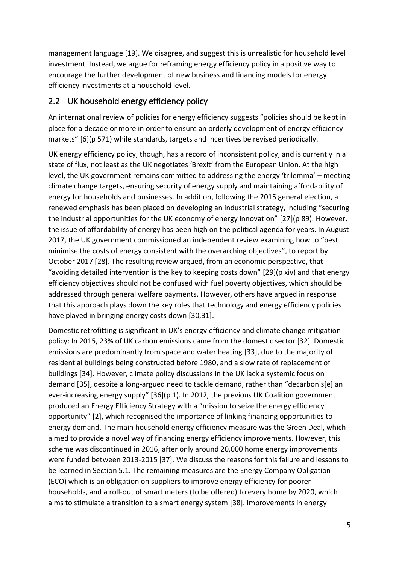management language [19]. We disagree, and suggest this is unrealistic for household level investment. Instead, we argue for reframing energy efficiency policy in a positive way to encourage the further development of new business and financing models for energy efficiency investments at a household level.

#### 2.2 UK household energy efficiency policy

An international review of policies for energy efficiency suggests "policies should be kept in place for a decade or more in order to ensure an orderly development of energy efficiency markets" [6](p 571) while standards, targets and incentives be revised periodically.

UK energy efficiency policy, though, has a record of inconsistent policy, and is currently in a state of flux, not least as the UK negotiates 'Brexit' from the European Union. At the high level, the UK government remains committed to addressing the energy 'trilemma' – meeting climate change targets, ensuring security of energy supply and maintaining affordability of energy for households and businesses. In addition, following the 2015 general election, a renewed emphasis has been placed on developing an industrial strategy, including "securing the industrial opportunities for the UK economy of energy innovation" [27](p 89). However, the issue of affordability of energy has been high on the political agenda for years. In August 2017, the UK government commissioned an independent review examining how to "best minimise the costs of energy consistent with the overarching objectives", to report by October 2017 [28]. The resulting review argued, from an economic perspective, that "avoiding detailed intervention is the key to keeping costs down" [29](p xiv) and that energy efficiency objectives should not be confused with fuel poverty objectives, which should be addressed through general welfare payments. However, others have argued in response that this approach plays down the key roles that technology and energy efficiency policies have played in bringing energy costs down [30,31].

Domestic retrofitting is significant in UK's energy efficiency and climate change mitigation policy: In 2015, 23% of UK carbon emissions came from the domestic sector [32]. Domestic emissions are predominantly from space and water heating [33], due to the majority of residential buildings being constructed before 1980, and a slow rate of replacement of buildings [34]. However, climate policy discussions in the UK lack a systemic focus on demand [35], despite a long-argued need to tackle demand, rather than "decarbonis[e] an ever-increasing energy supply" [36](p 1). In 2012, the previous UK Coalition government produced an Energy Efficiency Strategy with a "mission to seize the energy efficiency opportunity" [2], which recognised the importance of linking financing opportunities to energy demand. The main household energy efficiency measure was the Green Deal, which aimed to provide a novel way of financing energy efficiency improvements. However, this scheme was discontinued in 2016, after only around 20,000 home energy improvements were funded between 2013-2015 [37]. We discuss the reasons for this failure and lessons to be learned in Section 5.1. The remaining measures are the Energy Company Obligation (ECO) which is an obligation on suppliers to improve energy efficiency for poorer households, and a roll-out of smart meters (to be offered) to every home by 2020, which aims to stimulate a transition to a smart energy system [38]. Improvements in energy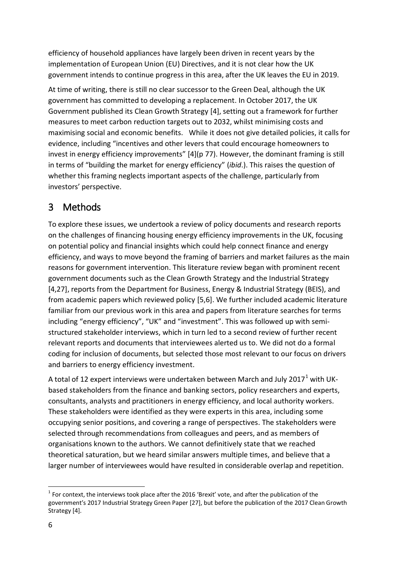efficiency of household appliances have largely been driven in recent years by the implementation of European Union (EU) Directives, and it is not clear how the UK government intends to continue progress in this area, after the UK leaves the EU in 2019.

At time of writing, there is still no clear successor to the Green Deal, although the UK government has committed to developing a replacement. In October 2017, the UK Government published its Clean Growth Strategy [4], setting out a framework for further measures to meet carbon reduction targets out to 2032, whilst minimising costs and maximising social and economic benefits. While it does not give detailed policies, it calls for evidence, including "incentives and other levers that could encourage homeowners to invest in energy efficiency improvements" [4](p 77). However, the dominant framing is still in terms of "building the market for energy efficiency" (*ibid*.). This raises the question of whether this framing neglects important aspects of the challenge, particularly from investors' perspective.

# 3 Methods

To explore these issues, we undertook a review of policy documents and research reports on the challenges of financing housing energy efficiency improvements in the UK, focusing on potential policy and financial insights which could help connect finance and energy efficiency, and ways to move beyond the framing of barriers and market failures as the main reasons for government intervention. This literature review began with prominent recent government documents such as the Clean Growth Strategy and the Industrial Strategy [4,27], reports from the Department for Business, Energy & Industrial Strategy (BEIS), and from academic papers which reviewed policy [5,6]. We further included academic literature familiar from our previous work in this area and papers from literature searches for terms including "energy efficiency", "UK" and "investment". This was followed up with semistructured stakeholder interviews, which in turn led to a second review of further recent relevant reports and documents that interviewees alerted us to. We did not do a formal coding for inclusion of documents, but selected those most relevant to our focus on drivers and barriers to energy efficiency investment.

A total of 12 expert interviews were undertaken between March and July 2017<sup>1</sup> with UKbased stakeholders from the finance and banking sectors, policy researchers and experts, consultants, analysts and practitioners in energy efficiency, and local authority workers. These stakeholders were identified as they were experts in this area, including some occupying senior positions, and covering a range of perspectives. The stakeholders were selected through recommendations from colleagues and peers, and as members of organisations known to the authors. We cannot definitively state that we reached theoretical saturation, but we heard similar answers multiple times, and believe that a larger number of interviewees would have resulted in considerable overlap and repetition.

-

 $<sup>1</sup>$  For context, the interviews took place after the 2016 'Brexit' vote, and after the publication of the</sup> government's 2017 Industrial Strategy Green Paper [27], but before the publication of the 2017 Clean Growth Strategy [4].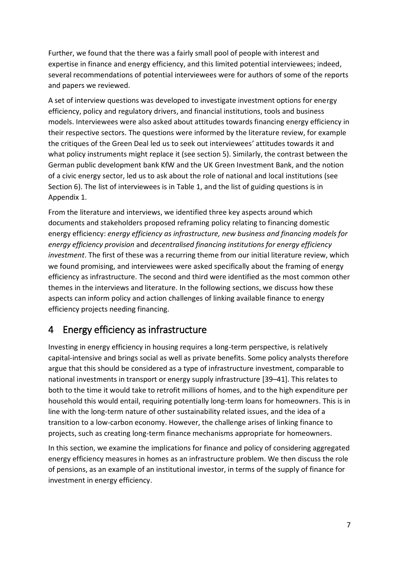Further, we found that the there was a fairly small pool of people with interest and expertise in finance and energy efficiency, and this limited potential interviewees; indeed, several recommendations of potential interviewees were for authors of some of the reports and papers we reviewed.

A set of interview questions was developed to investigate investment options for energy efficiency, policy and regulatory drivers, and financial institutions, tools and business models. Interviewees were also asked about attitudes towards financing energy efficiency in their respective sectors. The questions were informed by the literature review, for example the critiques of the Green Deal led us to seek out interviewees' attitudes towards it and what policy instruments might replace it (see section 5). Similarly, the contrast between the German public development bank KfW and the UK Green Investment Bank, and the notion of a civic energy sector, led us to ask about the role of national and local institutions (see Section 6). The list of interviewees is in Table 1, and the list of guiding questions is in Appendix 1.

From the literature and interviews, we identified three key aspects around which documents and stakeholders proposed reframing policy relating to financing domestic energy efficiency: *energy efficiency as infrastructure, new business and financing models for energy efficiency provision* and *decentralised financing institutions for energy efficiency investment*. The first of these was a recurring theme from our initial literature review, which we found promising, and interviewees were asked specifically about the framing of energy efficiency as infrastructure. The second and third were identified as the most common other themes in the interviews and literature. In the following sections, we discuss how these aspects can inform policy and action challenges of linking available finance to energy efficiency projects needing financing.

# 4 Energy efficiency as infrastructure

Investing in energy efficiency in housing requires a long-term perspective, is relatively capital-intensive and brings social as well as private benefits. Some policy analysts therefore argue that this should be considered as a type of infrastructure investment, comparable to national investments in transport or energy supply infrastructure [39–41]. This relates to both to the time it would take to retrofit millions of homes, and to the high expenditure per household this would entail, requiring potentially long-term loans for homeowners. This is in line with the long-term nature of other sustainability related issues, and the idea of a transition to a low-carbon economy. However, the challenge arises of linking finance to projects, such as creating long-term finance mechanisms appropriate for homeowners.

In this section, we examine the implications for finance and policy of considering aggregated energy efficiency measures in homes as an infrastructure problem. We then discuss the role of pensions, as an example of an institutional investor, in terms of the supply of finance for investment in energy efficiency.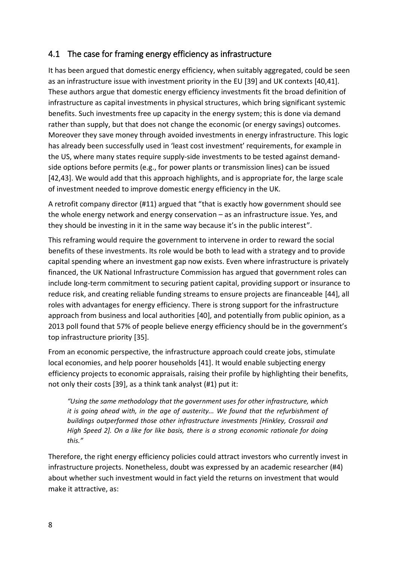#### 4.1 The case for framing energy efficiency as infrastructure

It has been argued that domestic energy efficiency, when suitably aggregated, could be seen as an infrastructure issue with investment priority in the EU [39] and UK contexts [40,41]. These authors argue that domestic energy efficiency investments fit the broad definition of infrastructure as capital investments in physical structures, which bring significant systemic benefits. Such investments free up capacity in the energy system; this is done via demand rather than supply, but that does not change the economic (or energy savings) outcomes. Moreover they save money through avoided investments in energy infrastructure. This logic has already been successfully used in 'least cost investment' requirements, for example in the US, where many states require supply-side investments to be tested against demandside options before permits (e.g., for power plants or transmission lines) can be issued [42,43]. We would add that this approach highlights, and is appropriate for, the large scale of investment needed to improve domestic energy efficiency in the UK.

A retrofit company director (#11) argued that "that is exactly how government should see the whole energy network and energy conservation – as an infrastructure issue. Yes, and they should be investing in it in the same way because it's in the public interest".

This reframing would require the government to intervene in order to reward the social benefits of these investments. Its role would be both to lead with a strategy and to provide capital spending where an investment gap now exists. Even where infrastructure is privately financed, the UK National Infrastructure Commission has argued that government roles can include long-term commitment to securing patient capital, providing support or insurance to reduce risk, and creating reliable funding streams to ensure projects are financeable [44], all roles with advantages for energy efficiency. There is strong support for the infrastructure approach from business and local authorities [40], and potentially from public opinion, as a 2013 poll found that 57% of people believe energy efficiency should be in the government's top infrastructure priority [35].

From an economic perspective, the infrastructure approach could create jobs, stimulate local economies, and help poorer households [41]. It would enable subjecting energy efficiency projects to economic appraisals, raising their profile by highlighting their benefits, not only their costs [39], as a think tank analyst (#1) put it:

*"Using the same methodology that the government uses for other infrastructure, which it is going ahead with, in the age of austerity... We found that the refurbishment of buildings outperformed those other infrastructure investments [Hinkley, Crossrail and High Speed 2]. On a like for like basis, there is a strong economic rationale for doing this."*

Therefore, the right energy efficiency policies could attract investors who currently invest in infrastructure projects. Nonetheless, doubt was expressed by an academic researcher (#4) about whether such investment would in fact yield the returns on investment that would make it attractive, as: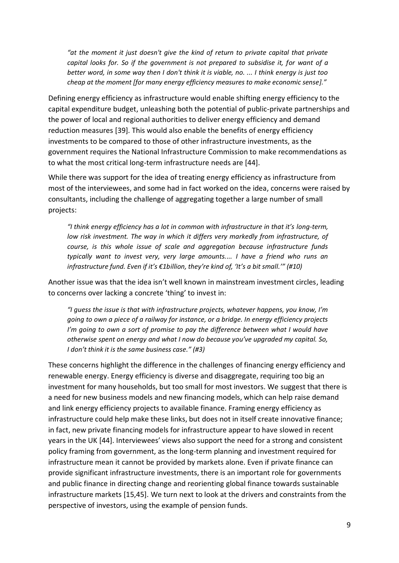*"at the moment it just doesn't give the kind of return to private capital that private capital looks for. So if the government is not prepared to subsidise it, for want of a better word, in some way then I don't think it is viable, no. ... I think energy is just too cheap at the moment [for many energy efficiency measures to make economic sense]."*

Defining energy efficiency as infrastructure would enable shifting energy efficiency to the capital expenditure budget, unleashing both the potential of public-private partnerships and the power of local and regional authorities to deliver energy efficiency and demand reduction measures [39]. This would also enable the benefits of energy efficiency investments to be compared to those of other infrastructure investments, as the government requires the National Infrastructure Commission to make recommendations as to what the most critical long-term infrastructure needs are [44].

While there was support for the idea of treating energy efficiency as infrastructure from most of the interviewees, and some had in fact worked on the idea, concerns were raised by consultants, including the challenge of aggregating together a large number of small projects:

*"I think energy efficiency has a lot in common with infrastructure in that it's long-term, low risk investment. The way in which it differs very markedly from infrastructure, of course, is this whole issue of scale and aggregation because infrastructure funds typically want to invest very, very large amounts.... I have a friend who runs an infrastructure fund. Even if it's €1billion, they're kind of, 'It's a bit small.'" (#10)*

Another issue was that the idea isn't well known in mainstream investment circles, leading to concerns over lacking a concrete 'thing' to invest in:

*"I guess the issue is that with infrastructure projects, whatever happens, you know, I'm going to own a piece of a railway for instance, or a bridge. In energy efficiency projects I'm going to own a sort of promise to pay the difference between what I would have otherwise spent on energy and what I now do because you've upgraded my capital. So, I don't think it is the same business case." (#3)*

These concerns highlight the difference in the challenges of financing energy efficiency and renewable energy. Energy efficiency is diverse and disaggregate, requiring too big an investment for many households, but too small for most investors. We suggest that there is a need for new business models and new financing models, which can help raise demand and link energy efficiency projects to available finance. Framing energy efficiency as infrastructure could help make these links, but does not in itself create innovative finance; in fact, new private financing models for infrastructure appear to have slowed in recent years in the UK [44]. Interviewees' views also support the need for a strong and consistent policy framing from government, as the long-term planning and investment required for infrastructure mean it cannot be provided by markets alone. Even if private finance can provide significant infrastructure investments, there is an important role for governments and public finance in directing change and reorienting global finance towards sustainable infrastructure markets [15,45]. We turn next to look at the drivers and constraints from the perspective of investors, using the example of pension funds.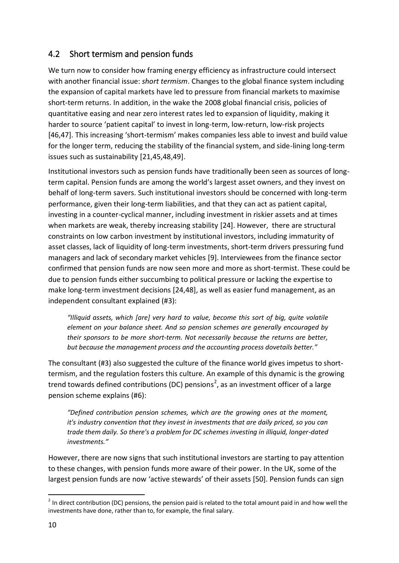### 4.2 Short termism and pension funds

We turn now to consider how framing energy efficiency as infrastructure could intersect with another financial issue: *short termism*. Changes to the global finance system including the expansion of capital markets have led to pressure from financial markets to maximise short-term returns. In addition, in the wake the 2008 global financial crisis, policies of quantitative easing and near zero interest rates led to expansion of liquidity, making it harder to source 'patient capital' to invest in long-term, low-return, low-risk projects [46,47]. This increasing 'short-termism' makes companies less able to invest and build value for the longer term, reducing the stability of the financial system, and side-lining long-term issues such as sustainability [21,45,48,49].

Institutional investors such as pension funds have traditionally been seen as sources of longterm capital. Pension funds are among the world's largest asset owners, and they invest on behalf of long-term savers. Such institutional investors should be concerned with long-term performance, given their long-term liabilities, and that they can act as patient capital, investing in a counter-cyclical manner, including investment in riskier assets and at times when markets are weak, thereby increasing stability [24]. However, there are structural constraints on low carbon investment by institutional investors, including immaturity of asset classes, lack of liquidity of long-term investments, short-term drivers pressuring fund managers and lack of secondary market vehicles [9]. Interviewees from the finance sector confirmed that pension funds are now seen more and more as short-termist. These could be due to pension funds either succumbing to political pressure or lacking the expertise to make long-term investment decisions [24,48], as well as easier fund management, as an independent consultant explained (#3):

*"Illiquid assets, which [are] very hard to value, become this sort of big, quite volatile element on your balance sheet. And so pension schemes are generally encouraged by their sponsors to be more short-term. Not necessarily because the returns are better, but because the management process and the accounting process dovetails better."*

The consultant (#3) also suggested the culture of the finance world gives impetus to shorttermism, and the regulation fosters this culture. An example of this dynamic is the growing trend towards defined contributions (DC) pensions<sup>2</sup>, as an investment officer of a large pension scheme explains (#6):

*"Defined contribution pension schemes, which are the growing ones at the moment, it's industry convention that they invest in investments that are daily priced, so you can trade them daily. So there's a problem for DC schemes investing in illiquid, longer-dated investments."*

However, there are now signs that such institutional investors are starting to pay attention to these changes, with pension funds more aware of their power. In the UK, some of the largest pension funds are now 'active stewards' of their assets [50]. Pension funds can sign

<sup>-</sup> $2$  In direct contribution (DC) pensions, the pension paid is related to the total amount paid in and how well the investments have done, rather than to, for example, the final salary.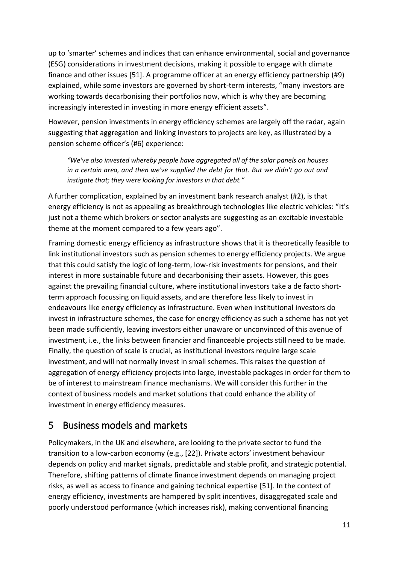up to 'smarter' schemes and indices that can enhance environmental, social and governance (ESG) considerations in investment decisions, making it possible to engage with climate finance and other issues [51]. A programme officer at an energy efficiency partnership (#9) explained, while some investors are governed by short-term interests, "many investors are working towards decarbonising their portfolios now, which is why they are becoming increasingly interested in investing in more energy efficient assets".

However, pension investments in energy efficiency schemes are largely off the radar, again suggesting that aggregation and linking investors to projects are key, as illustrated by a pension scheme officer's (#6) experience:

*"We've also invested whereby people have aggregated all of the solar panels on houses in a certain area, and then we've supplied the debt for that. But we didn't go out and instigate that; they were looking for investors in that debt."*

A further complication, explained by an investment bank research analyst (#2), is that energy efficiency is not as appealing as breakthrough technologies like electric vehicles: "It's just not a theme which brokers or sector analysts are suggesting as an excitable investable theme at the moment compared to a few years ago".

Framing domestic energy efficiency as infrastructure shows that it is theoretically feasible to link institutional investors such as pension schemes to energy efficiency projects. We argue that this could satisfy the logic of long-term, low-risk investments for pensions, and their interest in more sustainable future and decarbonising their assets. However, this goes against the prevailing financial culture, where institutional investors take a de facto shortterm approach focussing on liquid assets, and are therefore less likely to invest in endeavours like energy efficiency as infrastructure. Even when institutional investors do invest in infrastructure schemes, the case for energy efficiency as such a scheme has not yet been made sufficiently, leaving investors either unaware or unconvinced of this avenue of investment, i.e., the links between financier and financeable projects still need to be made. Finally, the question of scale is crucial, as institutional investors require large scale investment, and will not normally invest in small schemes. This raises the question of aggregation of energy efficiency projects into large, investable packages in order for them to be of interest to mainstream finance mechanisms. We will consider this further in the context of business models and market solutions that could enhance the ability of investment in energy efficiency measures.

# 5 Business models and markets

Policymakers, in the UK and elsewhere, are looking to the private sector to fund the transition to a low-carbon economy (e.g., [22]). Private actors' investment behaviour depends on policy and market signals, predictable and stable profit, and strategic potential. Therefore, shifting patterns of climate finance investment depends on managing project risks, as well as access to finance and gaining technical expertise [51]. In the context of energy efficiency, investments are hampered by split incentives, disaggregated scale and poorly understood performance (which increases risk), making conventional financing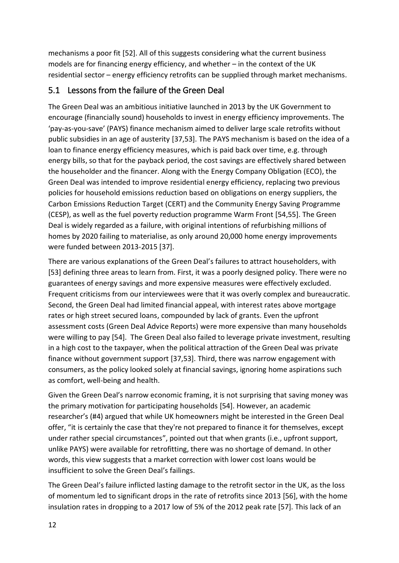mechanisms a poor fit [52]. All of this suggests considering what the current business models are for financing energy efficiency, and whether – in the context of the UK residential sector – energy efficiency retrofits can be supplied through market mechanisms.

#### 5.1 Lessons from the failure of the Green Deal

The Green Deal was an ambitious initiative launched in 2013 by the UK Government to encourage (financially sound) households to invest in energy efficiency improvements. The 'pay-as-you-save' (PAYS) finance mechanism aimed to deliver large scale retrofits without public subsidies in an age of austerity [37,53]. The PAYS mechanism is based on the idea of a loan to finance energy efficiency measures, which is paid back over time, e.g. through energy bills, so that for the payback period, the cost savings are effectively shared between the householder and the financer. Along with the Energy Company Obligation (ECO), the Green Deal was intended to improve residential energy efficiency, replacing two previous policies for household emissions reduction based on obligations on energy suppliers, the Carbon Emissions Reduction Target (CERT) and the Community Energy Saving Programme (CESP), as well as the fuel poverty reduction programme Warm Front [54,55]. The Green Deal is widely regarded as a failure, with original intentions of refurbishing millions of homes by 2020 failing to materialise, as only around 20,000 home energy improvements were funded between 2013-2015 [37].

There are various explanations of the Green Deal's failures to attract householders, with [53] defining three areas to learn from. First, it was a poorly designed policy. There were no guarantees of energy savings and more expensive measures were effectively excluded. Frequent criticisms from our interviewees were that it was overly complex and bureaucratic. Second, the Green Deal had limited financial appeal, with interest rates above mortgage rates or high street secured loans, compounded by lack of grants. Even the upfront assessment costs (Green Deal Advice Reports) were more expensive than many households were willing to pay [54]. The Green Deal also failed to leverage private investment, resulting in a high cost to the taxpayer, when the political attraction of the Green Deal was private finance without government support [37,53]. Third, there was narrow engagement with consumers, as the policy looked solely at financial savings, ignoring home aspirations such as comfort, well-being and health.

Given the Green Deal's narrow economic framing, it is not surprising that saving money was the primary motivation for participating households [54]. However, an academic researcher's (#4) argued that while UK homeowners might be interested in the Green Deal offer, "it is certainly the case that they're not prepared to finance it for themselves, except under rather special circumstances", pointed out that when grants (i.e., upfront support, unlike PAYS) were available for retrofitting, there was no shortage of demand. In other words, this view suggests that a market correction with lower cost loans would be insufficient to solve the Green Deal's failings.

The Green Deal's failure inflicted lasting damage to the retrofit sector in the UK, as the loss of momentum led to significant drops in the rate of retrofits since 2013 [56], with the home insulation rates in dropping to a 2017 low of 5% of the 2012 peak rate [57]. This lack of an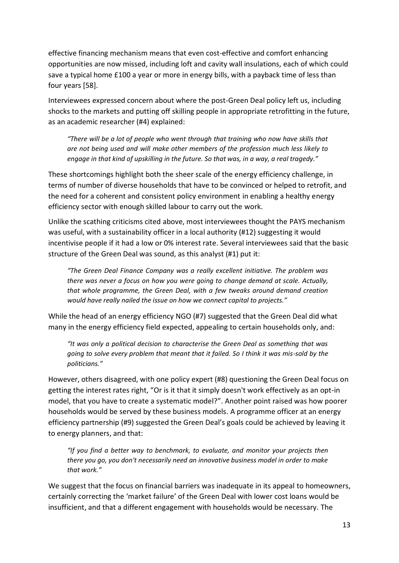effective financing mechanism means that even cost-effective and comfort enhancing opportunities are now missed, including loft and cavity wall insulations, each of which could save a typical home £100 a year or more in energy bills, with a payback time of less than four years [58].

Interviewees expressed concern about where the post-Green Deal policy left us, including shocks to the markets and putting off skilling people in appropriate retrofitting in the future, as an academic researcher (#4) explained:

*"There will be a lot of people who went through that training who now have skills that are not being used and will make other members of the profession much less likely to engage in that kind of upskilling in the future. So that was, in a way, a real tragedy."*

These shortcomings highlight both the sheer scale of the energy efficiency challenge, in terms of number of diverse households that have to be convinced or helped to retrofit, and the need for a coherent and consistent policy environment in enabling a healthy energy efficiency sector with enough skilled labour to carry out the work.

Unlike the scathing criticisms cited above, most interviewees thought the PAYS mechanism was useful, with a sustainability officer in a local authority (#12) suggesting it would incentivise people if it had a low or 0% interest rate. Several interviewees said that the basic structure of the Green Deal was sound, as this analyst (#1) put it:

*"The Green Deal Finance Company was a really excellent initiative. The problem was there was never a focus on how you were going to change demand at scale. Actually, that whole programme, the Green Deal, with a few tweaks around demand creation would have really nailed the issue on how we connect capital to projects."*

While the head of an energy efficiency NGO (#7) suggested that the Green Deal did what many in the energy efficiency field expected, appealing to certain households only, and:

*"It was only a political decision to characterise the Green Deal as something that was going to solve every problem that meant that it failed. So I think it was mis-sold by the politicians."* 

However, others disagreed, with one policy expert (#8) questioning the Green Deal focus on getting the interest rates right, "Or is it that it simply doesn't work effectively as an opt-in model, that you have to create a systematic model?". Another point raised was how poorer households would be served by these business models. A programme officer at an energy efficiency partnership (#9) suggested the Green Deal's goals could be achieved by leaving it to energy planners, and that:

*"If you find a better way to benchmark, to evaluate, and monitor your projects then there you go, you don't necessarily need an innovative business model in order to make that work."* 

We suggest that the focus on financial barriers was inadequate in its appeal to homeowners, certainly correcting the 'market failure' of the Green Deal with lower cost loans would be insufficient, and that a different engagement with households would be necessary. The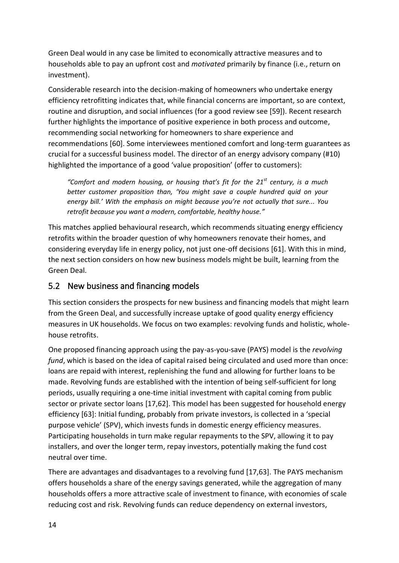Green Deal would in any case be limited to economically attractive measures and to households able to pay an upfront cost and *motivated* primarily by finance (i.e., return on investment).

Considerable research into the decision-making of homeowners who undertake energy efficiency retrofitting indicates that, while financial concerns are important, so are context, routine and disruption, and social influences (for a good review see [59]). Recent research further highlights the importance of positive experience in both process and outcome, recommending social networking for homeowners to share experience and recommendations [60]. Some interviewees mentioned comfort and long-term guarantees as crucial for a successful business model. The director of an energy advisory company (#10) highlighted the importance of a good 'value proposition' (offer to customers):

*"Comfort and modern housing, or housing that's fit for the 21st century, is a much better customer proposition than, 'You might save a couple hundred quid on your energy bill.' With the emphasis on might because you're not actually that sure... You retrofit because you want a modern, comfortable, healthy house."*

This matches applied behavioural research, which recommends situating energy efficiency retrofits within the broader question of why homeowners renovate their homes, and considering everyday life in energy policy, not just one-off decisions [61]. With this in mind, the next section considers on how new business models might be built, learning from the Green Deal.

### 5.2 New business and financing models

This section considers the prospects for new business and financing models that might learn from the Green Deal, and successfully increase uptake of good quality energy efficiency measures in UK households. We focus on two examples: revolving funds and holistic, wholehouse retrofits.

One proposed financing approach using the pay-as-you-save (PAYS) model is the *revolving fund*, which is based on the idea of capital raised being circulated and used more than once: loans are repaid with interest, replenishing the fund and allowing for further loans to be made. Revolving funds are established with the intention of being self-sufficient for long periods, usually requiring a one-time initial investment with capital coming from public sector or private sector loans [17,62]. This model has been suggested for household energy efficiency [63]: Initial funding, probably from private investors, is collected in a 'special purpose vehicle' (SPV), which invests funds in domestic energy efficiency measures. Participating households in turn make regular repayments to the SPV, allowing it to pay installers, and over the longer term, repay investors, potentially making the fund cost neutral over time.

There are advantages and disadvantages to a revolving fund [17,63]. The PAYS mechanism offers households a share of the energy savings generated, while the aggregation of many households offers a more attractive scale of investment to finance, with economies of scale reducing cost and risk. Revolving funds can reduce dependency on external investors,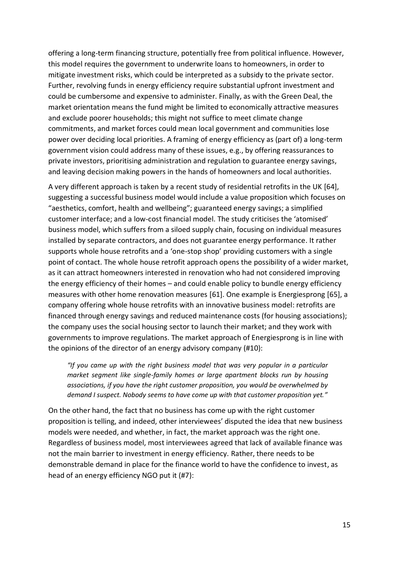offering a long-term financing structure, potentially free from political influence. However, this model requires the government to underwrite loans to homeowners, in order to mitigate investment risks, which could be interpreted as a subsidy to the private sector. Further, revolving funds in energy efficiency require substantial upfront investment and could be cumbersome and expensive to administer. Finally, as with the Green Deal, the market orientation means the fund might be limited to economically attractive measures and exclude poorer households; this might not suffice to meet climate change commitments, and market forces could mean local government and communities lose power over deciding local priorities. A framing of energy efficiency as (part of) a long-term government vision could address many of these issues, e.g., by offering reassurances to private investors, prioritising administration and regulation to guarantee energy savings, and leaving decision making powers in the hands of homeowners and local authorities.

A very different approach is taken by a recent study of residential retrofits in the UK [64], suggesting a successful business model would include a value proposition which focuses on "aesthetics, comfort, health and wellbeing"; guaranteed energy savings; a simplified customer interface; and a low-cost financial model. The study criticises the 'atomised' business model, which suffers from a siloed supply chain, focusing on individual measures installed by separate contractors, and does not guarantee energy performance. It rather supports whole house retrofits and a 'one-stop shop' providing customers with a single point of contact. The whole house retrofit approach opens the possibility of a wider market, as it can attract homeowners interested in renovation who had not considered improving the energy efficiency of their homes – and could enable policy to bundle energy efficiency measures with other home renovation measures [61]. One example is Energiesprong [65], a company offering whole house retrofits with an innovative business model: retrofits are financed through energy savings and reduced maintenance costs (for housing associations); the company uses the social housing sector to launch their market; and they work with governments to improve regulations. The market approach of Energiesprong is in line with the opinions of the director of an energy advisory company (#10):

*"If you came up with the right business model that was very popular in a particular market segment like single-family homes or large apartment blocks run by housing associations, if you have the right customer proposition, you would be overwhelmed by demand I suspect. Nobody seems to have come up with that customer proposition yet."* 

On the other hand, the fact that no business has come up with the right customer proposition is telling, and indeed, other interviewees' disputed the idea that new business models were needed, and whether, in fact, the market approach was the right one. Regardless of business model, most interviewees agreed that lack of available finance was not the main barrier to investment in energy efficiency. Rather, there needs to be demonstrable demand in place for the finance world to have the confidence to invest, as head of an energy efficiency NGO put it (#7):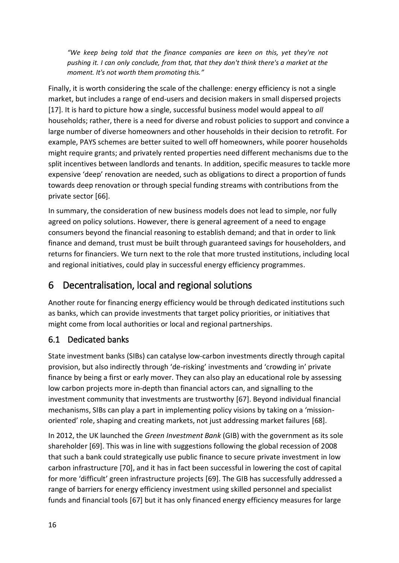*"We keep being told that the finance companies are keen on this, yet they're not pushing it. I can only conclude, from that, that they don't think there's a market at the moment. It's not worth them promoting this."*

Finally, it is worth considering the scale of the challenge: energy efficiency is not a single market, but includes a range of end-users and decision makers in small dispersed projects [17]. It is hard to picture how a single, successful business model would appeal to *all* households; rather, there is a need for diverse and robust policies to support and convince a large number of diverse homeowners and other households in their decision to retrofit. For example, PAYS schemes are better suited to well off homeowners, while poorer households might require grants; and privately rented properties need different mechanisms due to the split incentives between landlords and tenants. In addition, specific measures to tackle more expensive 'deep' renovation are needed, such as obligations to direct a proportion of funds towards deep renovation or through special funding streams with contributions from the private sector [66].

In summary, the consideration of new business models does not lead to simple, nor fully agreed on policy solutions. However, there is general agreement of a need to engage consumers beyond the financial reasoning to establish demand; and that in order to link finance and demand, trust must be built through guaranteed savings for householders, and returns for financiers. We turn next to the role that more trusted institutions, including local and regional initiatives, could play in successful energy efficiency programmes.

# 6 Decentralisation, local and regional solutions

Another route for financing energy efficiency would be through dedicated institutions such as banks, which can provide investments that target policy priorities, or initiatives that might come from local authorities or local and regional partnerships.

### 6.1 Dedicated banks

State investment banks (SIBs) can catalyse low-carbon investments directly through capital provision, but also indirectly through 'de-risking' investments and 'crowding in' private finance by being a first or early mover. They can also play an educational role by assessing low carbon projects more in-depth than financial actors can, and signalling to the investment community that investments are trustworthy [67]. Beyond individual financial mechanisms, SIBs can play a part in implementing policy visions by taking on a 'missionoriented' role, shaping and creating markets, not just addressing market failures [68].

In 2012, the UK launched the *Green Investment Bank* (GIB) with the government as its sole shareholder [69]. This was in line with suggestions following the global recession of 2008 that such a bank could strategically use public finance to secure private investment in low carbon infrastructure [70], and it has in fact been successful in lowering the cost of capital for more 'difficult' green infrastructure projects [69]. The GIB has successfully addressed a range of barriers for energy efficiency investment using skilled personnel and specialist funds and financial tools [67] but it has only financed energy efficiency measures for large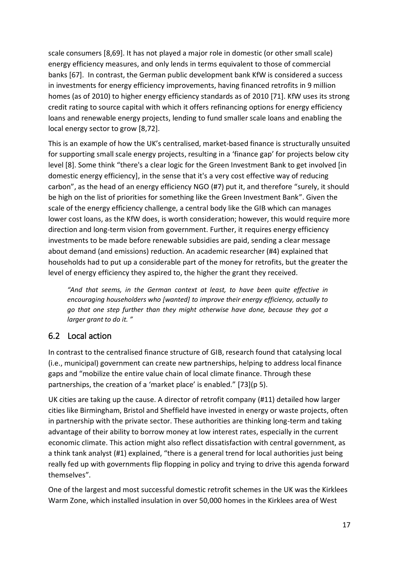scale consumers [8,69]. It has not played a major role in domestic (or other small scale) energy efficiency measures, and only lends in terms equivalent to those of commercial banks [67]. In contrast, the German public development bank KfW is considered a success in investments for energy efficiency improvements, having financed retrofits in 9 million homes (as of 2010) to higher energy efficiency standards as of 2010 [71]. KfW uses its strong credit rating to source capital with which it offers refinancing options for energy efficiency loans and renewable energy projects, lending to fund smaller scale loans and enabling the local energy sector to grow [8,72].

This is an example of how the UK's centralised, market-based finance is structurally unsuited for supporting small scale energy projects, resulting in a 'finance gap' for projects below city level [8]. Some think "there's a clear logic for the Green Investment Bank to get involved [in domestic energy efficiency], in the sense that it's a very cost effective way of reducing carbon", as the head of an energy efficiency NGO (#7) put it, and therefore "surely, it should be high on the list of priorities for something like the Green Investment Bank". Given the scale of the energy efficiency challenge, a central body like the GIB which can manages lower cost loans, as the KfW does, is worth consideration; however, this would require more direction and long-term vision from government. Further, it requires energy efficiency investments to be made before renewable subsidies are paid, sending a clear message about demand (and emissions) reduction. An academic researcher (#4) explained that households had to put up a considerable part of the money for retrofits, but the greater the level of energy efficiency they aspired to, the higher the grant they received.

*"And that seems, in the German context at least, to have been quite effective in encouraging householders who [wanted] to improve their energy efficiency, actually to go that one step further than they might otherwise have done, because they got a larger grant to do it. "*

#### 6.2 Local action

In contrast to the centralised finance structure of GIB, research found that catalysing local (i.e., municipal) government can create new partnerships, helping to address local finance gaps and "mobilize the entire value chain of local climate finance. Through these partnerships, the creation of a 'market place' is enabled." [73](p 5).

UK cities are taking up the cause. A director of retrofit company (#11) detailed how larger cities like Birmingham, Bristol and Sheffield have invested in energy or waste projects, often in partnership with the private sector. These authorities are thinking long-term and taking advantage of their ability to borrow money at low interest rates, especially in the current economic climate. This action might also reflect dissatisfaction with central government, as a think tank analyst (#1) explained, "there is a general trend for local authorities just being really fed up with governments flip flopping in policy and trying to drive this agenda forward themselves".

One of the largest and most successful domestic retrofit schemes in the UK was the Kirklees Warm Zone, which installed insulation in over 50,000 homes in the Kirklees area of West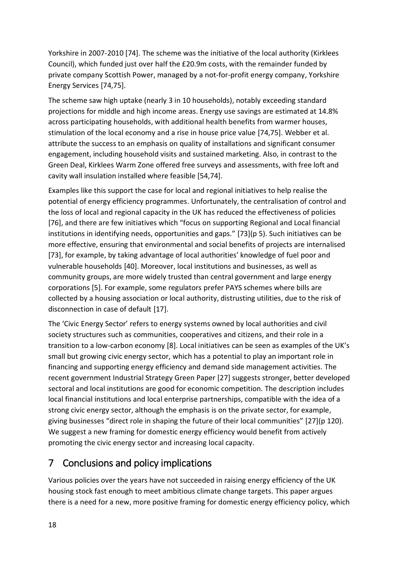Yorkshire in 2007-2010 [74]. The scheme was the initiative of the local authority (Kirklees Council), which funded just over half the £20.9m costs, with the remainder funded by private company Scottish Power, managed by a not-for-profit energy company, Yorkshire Energy Services [74,75].

The scheme saw high uptake (nearly 3 in 10 households), notably exceeding standard projections for middle and high income areas. Energy use savings are estimated at 14.8% across participating households, with additional health benefits from warmer houses, stimulation of the local economy and a rise in house price value [74,75]. Webber et al. attribute the success to an emphasis on quality of installations and significant consumer engagement, including household visits and sustained marketing. Also, in contrast to the Green Deal, Kirklees Warm Zone offered free surveys and assessments, with free loft and cavity wall insulation installed where feasible [54,74].

Examples like this support the case for local and regional initiatives to help realise the potential of energy efficiency programmes. Unfortunately, the centralisation of control and the loss of local and regional capacity in the UK has reduced the effectiveness of policies [76], and there are few initiatives which "focus on supporting Regional and Local financial institutions in identifying needs, opportunities and gaps." [73](p 5). Such initiatives can be more effective, ensuring that environmental and social benefits of projects are internalised [73], for example, by taking advantage of local authorities' knowledge of fuel poor and vulnerable households [40]. Moreover, local institutions and businesses, as well as community groups, are more widely trusted than central government and large energy corporations [5]. For example, some regulators prefer PAYS schemes where bills are collected by a housing association or local authority, distrusting utilities, due to the risk of disconnection in case of default [17].

The 'Civic Energy Sector' refers to energy systems owned by local authorities and civil society structures such as communities, cooperatives and citizens, and their role in a transition to a low-carbon economy [8]. Local initiatives can be seen as examples of the UK's small but growing civic energy sector, which has a potential to play an important role in financing and supporting energy efficiency and demand side management activities. The recent government Industrial Strategy Green Paper [27] suggests stronger, better developed sectoral and local institutions are good for economic competition. The description includes local financial institutions and local enterprise partnerships, compatible with the idea of a strong civic energy sector, although the emphasis is on the private sector, for example, giving businesses "direct role in shaping the future of their local communities" [27](p 120). We suggest a new framing for domestic energy efficiency would benefit from actively promoting the civic energy sector and increasing local capacity.

# 7 Conclusions and policy implications

Various policies over the years have not succeeded in raising energy efficiency of the UK housing stock fast enough to meet ambitious climate change targets. This paper argues there is a need for a new, more positive framing for domestic energy efficiency policy, which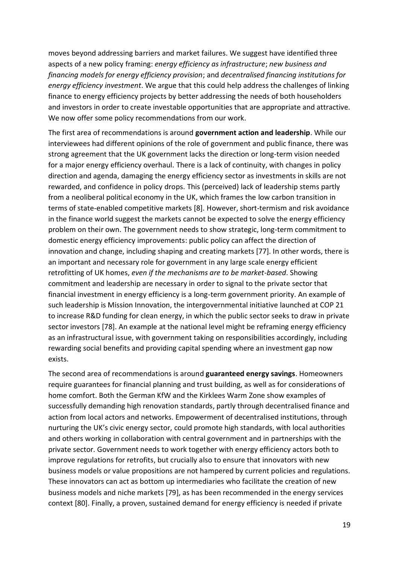moves beyond addressing barriers and market failures. We suggest have identified three aspects of a new policy framing: *energy efficiency as infrastructure*; *new business and financing models for energy efficiency provision*; and *decentralised financing institutions for energy efficiency investment*. We argue that this could help address the challenges of linking finance to energy efficiency projects by better addressing the needs of both householders and investors in order to create investable opportunities that are appropriate and attractive. We now offer some policy recommendations from our work.

The first area of recommendations is around **government action and leadership**. While our interviewees had different opinions of the role of government and public finance, there was strong agreement that the UK government lacks the direction or long-term vision needed for a major energy efficiency overhaul. There is a lack of continuity, with changes in policy direction and agenda, damaging the energy efficiency sector as investments in skills are not rewarded, and confidence in policy drops. This (perceived) lack of leadership stems partly from a neoliberal political economy in the UK, which frames the low carbon transition in terms of state-enabled competitive markets [8]. However, short-termism and risk avoidance in the finance world suggest the markets cannot be expected to solve the energy efficiency problem on their own. The government needs to show strategic, long-term commitment to domestic energy efficiency improvements: public policy can affect the direction of innovation and change, including shaping and creating markets [77]. In other words, there is an important and necessary role for government in any large scale energy efficient retrofitting of UK homes, *even if the mechanisms are to be market-based*. Showing commitment and leadership are necessary in order to signal to the private sector that financial investment in energy efficiency is a long-term government priority. An example of such leadership is Mission Innovation, the intergovernmental initiative launched at COP 21 to increase R&D funding for clean energy, in which the public sector seeks to draw in private sector investors [78]. An example at the national level might be reframing energy efficiency as an infrastructural issue, with government taking on responsibilities accordingly, including rewarding social benefits and providing capital spending where an investment gap now exists.

The second area of recommendations is around **guaranteed energy savings**. Homeowners require guarantees for financial planning and trust building, as well as for considerations of home comfort. Both the German KfW and the Kirklees Warm Zone show examples of successfully demanding high renovation standards, partly through decentralised finance and action from local actors and networks. Empowerment of decentralised institutions, through nurturing the UK's civic energy sector, could promote high standards, with local authorities and others working in collaboration with central government and in partnerships with the private sector. Government needs to work together with energy efficiency actors both to improve regulations for retrofits, but crucially also to ensure that innovators with new business models or value propositions are not hampered by current policies and regulations. These innovators can act as bottom up intermediaries who facilitate the creation of new business models and niche markets [79], as has been recommended in the energy services context [80]. Finally, a proven, sustained demand for energy efficiency is needed if private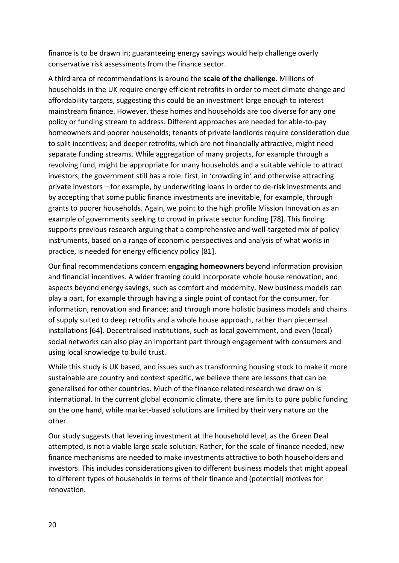finance is to be drawn in; guaranteeing energy savings would help challenge overly conservative risk assessments from the finance sector.

A third area of recommendations is around the **scale of the challenge**. Millions of households in the UK require energy efficient retrofits in order to meet climate change and affordability targets, suggesting this could be an investment large enough to interest mainstream finance. However, these homes and households are too diverse for any one policy or funding stream to address. Different approaches are needed for able-to-pay homeowners and poorer households; tenants of private landlords require consideration due to split incentives; and deeper retrofits, which are not financially attractive, might need separate funding streams. While aggregation of many projects, for example through a revolving fund, might be appropriate for many households and a suitable vehicle to attract investors, the government still has a role: first, in 'crowding in' and otherwise attracting private investors – for example, by underwriting loans in order to de-risk investments and by accepting that some public finance investments are inevitable, for example, through grants to poorer households. Again, we point to the high profile Mission Innovation as an example of governments seeking to crowd in private sector funding [78]. This finding supports previous research arguing that a comprehensive and well-targeted mix of policy instruments, based on a range of economic perspectives and analysis of what works in practice, is needed for energy efficiency policy [81].

Our final recommendations concern **engaging homeowners** beyond information provision and financial incentives. A wider framing could incorporate whole house renovation, and aspects beyond energy savings, such as comfort and modernity. New business models can play a part, for example through having a single point of contact for the consumer, for information, renovation and finance; and through more holistic business models and chains of supply suited to deep retrofits and a whole house approach, rather than piecemeal installations [64]. Decentralised institutions, such as local government, and even (local) social networks can also play an important part through engagement with consumers and using local knowledge to build trust.

While this study is UK based, and issues such as transforming housing stock to make it more sustainable are country and context specific, we believe there are lessons that can be generalised for other countries. Much of the finance related research we draw on is international. In the current global economic climate, there are limits to pure public funding on the one hand, while market-based solutions are limited by their very nature on the other.

Our study suggests that levering investment at the household level, as the Green Deal attempted, is not a viable large scale solution. Rather, for the scale of finance needed, new finance mechanisms are needed to make investments attractive to both householders and investors. This includes considerations given to different business models that might appeal to different types of households in terms of their finance and (potential) motives for renovation.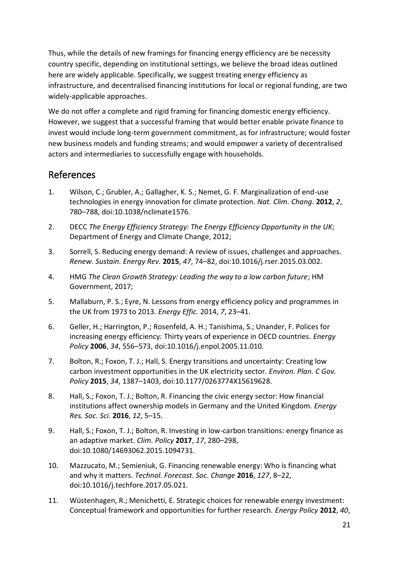Thus, while the details of new framings for financing energy efficiency are be necessity country specific, depending on institutional settings, we believe the broad ideas outlined here are widely applicable. Specifically, we suggest treating energy efficiency as infrastructure, and decentralised financing institutions for local or regional funding, are two widely-applicable approaches.

We do not offer a complete and rigid framing for financing domestic energy efficiency. However, we suggest that a successful framing that would better enable private finance to invest would include long-term government commitment, as for infrastructure; would foster new business models and funding streams; and would empower a variety of decentralised actors and intermediaries to successfully engage with households.

## References

- 1. Wilson, C.; Grubler, A.; Gallagher, K. S.; Nemet, G. F. Marginalization of end-use technologies in energy innovation for climate protection. *Nat. Clim. Chang.* **2012**, *2*, 780–788, doi:10.1038/nclimate1576.
- 2. DECC *The Energy Efficiency Strategy: The Energy Efficiency Opportunity in the UK*; Department of Energy and Climate Change, 2012;
- 3. Sorrell, S. Reducing energy demand: A review of issues, challenges and approaches. *Renew. Sustain. Energy Rev.* **2015**, *47*, 74–82, doi:10.1016/j.rser.2015.03.002.
- 4. HMG *The Clean Growth Strategy: Leading the way to a low carbon future*; HM Government, 2017;
- 5. Mallaburn, P. S.; Eyre, N. Lessons from energy efficiency policy and programmes in the UK from 1973 to 2013. *Energy Effic.* 2014, *7*, 23–41.
- 6. Geller, H.; Harrington, P.; Rosenfeld, A. H.; Tanishima, S.; Unander, F. Polices for increasing energy efficiency: Thirty years of experience in OECD countries. *Energy Policy* **2006**, *34*, 556–573, doi:10.1016/j.enpol.2005.11.010.
- 7. Bolton, R.; Foxon, T. J.; Hall, S. Energy transitions and uncertainty: Creating low carbon investment opportunities in the UK electricity sector. *Environ. Plan. C Gov. Policy* **2015**, *34*, 1387–1403, doi:10.1177/0263774X15619628.
- 8. Hall, S.; Foxon, T. J.; Bolton, R. Financing the civic energy sector: How financial institutions affect ownership models in Germany and the United Kingdom. *Energy Res. Soc. Sci.* **2016**, *12*, 5–15.
- 9. Hall, S.; Foxon, T. J.; Bolton, R. Investing in low-carbon transitions: energy finance as an adaptive market. *Clim. Policy* **2017**, *17*, 280–298, doi:10.1080/14693062.2015.1094731.
- 10. Mazzucato, M.; Semieniuk, G. Financing renewable energy: Who is financing what and why it matters. *Technol. Forecast. Soc. Change* **2016**, *127*, 8–22, doi:10.1016/j.techfore.2017.05.021.
- 11. Wüstenhagen, R.; Menichetti, E. Strategic choices for renewable energy investment: Conceptual framework and opportunities for further research. *Energy Policy* **2012**, *40*,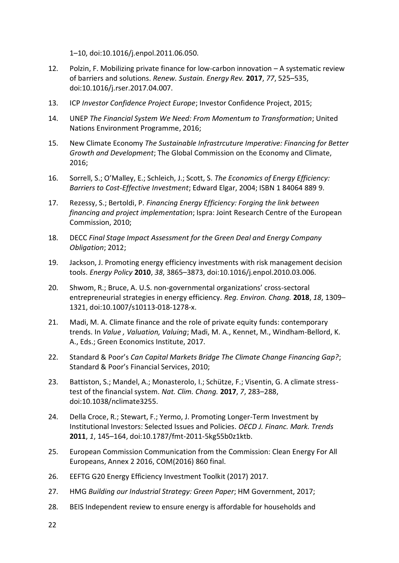1–10, doi:10.1016/j.enpol.2011.06.050.

- 12. Polzin, F. Mobilizing private finance for low-carbon innovation A systematic review of barriers and solutions. *Renew. Sustain. Energy Rev.* **2017**, *77*, 525–535, doi:10.1016/j.rser.2017.04.007.
- 13. ICP *Investor Confidence Project Europe*; Investor Confidence Project, 2015;
- 14. UNEP *The Financial System We Need: From Momentum to Transformation*; United Nations Environment Programme, 2016;
- 15. New Climate Economy *The Sustainable Infrastrcuture Imperative: Financing for Better Growth and Development*; The Global Commission on the Economy and Climate, 2016;
- 16. Sorrell, S.; O'Malley, E.; Schleich, J.; Scott, S. *The Economics of Energy Efficiency: Barriers to Cost-Effective Investment*; Edward Elgar, 2004; ISBN 1 84064 889 9.
- 17. Rezessy, S.; Bertoldi, P. *Financing Energy Efficiency: Forging the link between financing and project implementation*; Ispra: Joint Research Centre of the European Commission, 2010;
- 18. DECC *Final Stage Impact Assessment for the Green Deal and Energy Company Obligation*; 2012;
- 19. Jackson, J. Promoting energy efficiency investments with risk management decision tools. *Energy Policy* **2010**, *38*, 3865–3873, doi:10.1016/j.enpol.2010.03.006.
- 20. Shwom, R.; Bruce, A. U.S. non-governmental organizations' cross-sectoral entrepreneurial strategies in energy efficiency. *Reg. Environ. Chang.* **2018**, *18*, 1309– 1321, doi:10.1007/s10113-018-1278-x.
- 21. Madi, M. A. Climate finance and the role of private equity funds: contemporary trends. In *Value , Valuation, Valuing*; Madi, M. A., Kennet, M., Windham-Bellord, K. A., Eds.; Green Economics Institute, 2017.
- 22. Standard & Poor's *Can Capital Markets Bridge The Climate Change Financing Gap?*; Standard & Poor's Financial Services, 2010;
- 23. Battiston, S.; Mandel, A.; Monasterolo, I.; Schütze, F.; Visentin, G. A climate stresstest of the financial system. *Nat. Clim. Chang.* **2017**, *7*, 283–288, doi:10.1038/nclimate3255.
- 24. Della Croce, R.; Stewart, F.; Yermo, J. Promoting Longer-Term Investment by Institutional Investors: Selected Issues and Policies. *OECD J. Financ. Mark. Trends* **2011**, *1*, 145–164, doi:10.1787/fmt-2011-5kg55b0z1ktb.
- 25. European Commission Communication from the Commission: Clean Energy For All Europeans, Annex 2 2016, COM(2016) 860 final.
- 26. EEFTG G20 Energy Efficiency Investment Toolkit (2017) 2017.
- 27. HMG *Building our Industrial Strategy: Green Paper*; HM Government, 2017;
- 28. BEIS Independent review to ensure energy is affordable for households and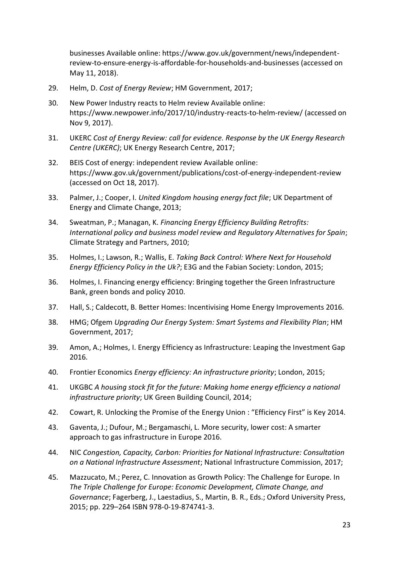businesses Available online: https://www.gov.uk/government/news/independentreview-to-ensure-energy-is-affordable-for-households-and-businesses (accessed on May 11, 2018).

- 29. Helm, D. *Cost of Energy Review*; HM Government, 2017;
- 30. New Power Industry reacts to Helm review Available online: https://www.newpower.info/2017/10/industry-reacts-to-helm-review/ (accessed on Nov 9, 2017).
- 31. UKERC *Cost of Energy Review: call for evidence. Response by the UK Energy Research Centre (UKERC)*; UK Energy Research Centre, 2017;
- 32. BEIS Cost of energy: independent review Available online: https://www.gov.uk/government/publications/cost-of-energy-independent-review (accessed on Oct 18, 2017).
- 33. Palmer, J.; Cooper, I. *United Kingdom housing energy fact file*; UK Department of Energy and Climate Change, 2013;
- 34. Sweatman, P.; Managan, K. *Financing Energy Efficiency Building Retrofits: International policy and business model review and Regulatory Alternatives for Spain*; Climate Strategy and Partners, 2010;
- 35. Holmes, I.; Lawson, R.; Wallis, E. *Taking Back Control: Where Next for Household Energy Efficiency Policy in the Uk?*; E3G and the Fabian Society: London, 2015;
- 36. Holmes, I. Financing energy efficiency: Bringing together the Green Infrastructure Bank, green bonds and policy 2010.
- 37. Hall, S.; Caldecott, B. Better Homes: Incentivising Home Energy Improvements 2016.
- 38. HMG; Ofgem *Upgrading Our Energy System: Smart Systems and Flexibility Plan*; HM Government, 2017;
- 39. Amon, A.; Holmes, I. Energy Efficiency as Infrastructure: Leaping the Investment Gap 2016.
- 40. Frontier Economics *Energy efficiency: An infrastructure priority*; London, 2015;
- 41. UKGBC *A housing stock fit for the future: Making home energy efficiency a national infrastructure priority*; UK Green Building Council, 2014;
- 42. Cowart, R. Unlocking the Promise of the Energy Union : "Efficiency First" is Key 2014.
- 43. Gaventa, J.; Dufour, M.; Bergamaschi, L. More security, lower cost: A smarter approach to gas infrastructure in Europe 2016.
- 44. NIC *Congestion, Capacity, Carbon: Priorities for National Infrastructure: Consultation on a National Infrastructure Assessment*; National Infrastructure Commission, 2017;
- 45. Mazzucato, M.; Perez, C. Innovation as Growth Policy: The Challenge for Europe. In *The Triple Challenge for Europe: Economic Development, Climate Change, and Governance*; Fagerberg, J., Laestadius, S., Martin, B. R., Eds.; Oxford University Press, 2015; pp. 229–264 ISBN 978-0-19-874741-3.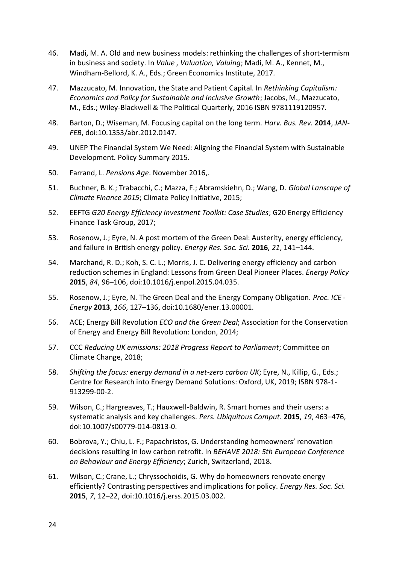- 46. Madi, M. A. Old and new business models: rethinking the challenges of short-termism in business and society. In *Value , Valuation, Valuing*; Madi, M. A., Kennet, M., Windham-Bellord, K. A., Eds.; Green Economics Institute, 2017.
- 47. Mazzucato, M. Innovation, the State and Patient Capital. In *Rethinking Capitalism: Economics and Policy for Sustainable and Inclusive Growth*; Jacobs, M., Mazzucato, M., Eds.; Wiley-Blackwell & The Political Quarterly, 2016 ISBN 9781119120957.
- 48. Barton, D.; Wiseman, M. Focusing capital on the long term. *Harv. Bus. Rev.* **2014**, *JAN*-*FEB*, doi:10.1353/abr.2012.0147.
- 49. UNEP The Financial System We Need: Aligning the Financial System with Sustainable Development. Policy Summary 2015.
- 50. Farrand, L. *Pensions Age*. November 2016,.
- 51. Buchner, B. K.; Trabacchi, C.; Mazza, F.; Abramskiehn, D.; Wang, D. *Global Lanscape of Climate Finance 2015*; Climate Policy Initiative, 2015;
- 52. EEFTG *G20 Energy Efficiency Investment Toolkit: Case Studies*; G20 Energy Efficiency Finance Task Group, 2017;
- 53. Rosenow, J.; Eyre, N. A post mortem of the Green Deal: Austerity, energy efficiency, and failure in British energy policy. *Energy Res. Soc. Sci.* **2016**, *21*, 141–144.
- 54. Marchand, R. D.; Koh, S. C. L.; Morris, J. C. Delivering energy efficiency and carbon reduction schemes in England: Lessons from Green Deal Pioneer Places. *Energy Policy* **2015**, *84*, 96–106, doi:10.1016/j.enpol.2015.04.035.
- 55. Rosenow, J.; Eyre, N. The Green Deal and the Energy Company Obligation. *Proc. ICE - Energy* **2013**, *166*, 127–136, doi:10.1680/ener.13.00001.
- 56. ACE; Energy Bill Revolution *ECO and the Green Deal*; Association for the Conservation of Energy and Energy Bill Revolution: London, 2014;
- 57. CCC *Reducing UK emissions: 2018 Progress Report to Parliament*; Committee on Climate Change, 2018;
- 58. *Shifting the focus: energy demand in a net-zero carbon UK*; Eyre, N., Killip, G., Eds.; Centre for Research into Energy Demand Solutions: Oxford, UK, 2019; ISBN 978-1- 913299-00-2.
- 59. Wilson, C.; Hargreaves, T.; Hauxwell-Baldwin, R. Smart homes and their users: a systematic analysis and key challenges. *Pers. Ubiquitous Comput.* **2015**, *19*, 463–476, doi:10.1007/s00779-014-0813-0.
- 60. Bobrova, Y.; Chiu, L. F.; Papachristos, G. Understanding homeowners' renovation decisions resulting in low carbon retrofit. In *BEHAVE 2018: 5th European Conference on Behaviour and Energy Efficiency*; Zurich, Switzerland, 2018.
- 61. Wilson, C.; Crane, L.; Chryssochoidis, G. Why do homeowners renovate energy efficiently? Contrasting perspectives and implications for policy. *Energy Res. Soc. Sci.* **2015**, *7*, 12–22, doi:10.1016/j.erss.2015.03.002.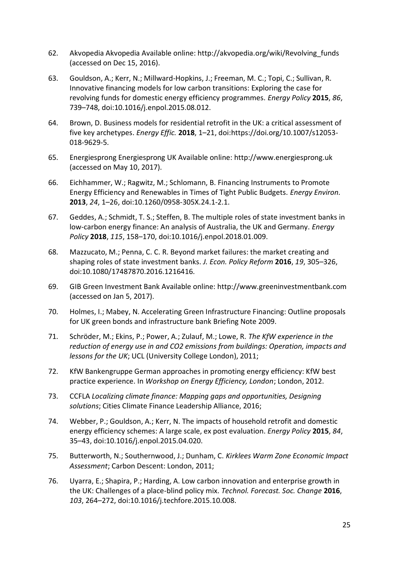- 62. Akvopedia Akvopedia Available online: http://akvopedia.org/wiki/Revolving\_funds (accessed on Dec 15, 2016).
- 63. Gouldson, A.; Kerr, N.; Millward-Hopkins, J.; Freeman, M. C.; Topi, C.; Sullivan, R. Innovative financing models for low carbon transitions: Exploring the case for revolving funds for domestic energy efficiency programmes. *Energy Policy* **2015**, *86*, 739–748, doi:10.1016/j.enpol.2015.08.012.
- 64. Brown, D. Business models for residential retrofit in the UK: a critical assessment of five key archetypes. *Energy Effic.* **2018**, 1–21, doi:https://doi.org/10.1007/s12053- 018-9629-5.
- 65. Energiesprong Energiesprong UK Available online: http://www.energiesprong.uk (accessed on May 10, 2017).
- 66. Eichhammer, W.; Ragwitz, M.; Schlomann, B. Financing Instruments to Promote Energy Efficiency and Renewables in Times of Tight Public Budgets. *Energy Environ.* **2013**, *24*, 1–26, doi:10.1260/0958-305X.24.1-2.1.
- 67. Geddes, A.; Schmidt, T. S.; Steffen, B. The multiple roles of state investment banks in low-carbon energy finance: An analysis of Australia, the UK and Germany. *Energy Policy* **2018**, *115*, 158–170, doi:10.1016/j.enpol.2018.01.009.
- 68. Mazzucato, M.; Penna, C. C. R. Beyond market failures: the market creating and shaping roles of state investment banks. *J. Econ. Policy Reform* **2016**, *19*, 305–326, doi:10.1080/17487870.2016.1216416.
- 69. GIB Green Investment Bank Available online: http://www.greeninvestmentbank.com (accessed on Jan 5, 2017).
- 70. Holmes, I.; Mabey, N. Accelerating Green Infrastructure Financing: Outline proposals for UK green bonds and infrastructure bank Briefing Note 2009.
- 71. Schröder, M.; Ekins, P.; Power, A.; Zulauf, M.; Lowe, R. *The KfW experience in the reduction of energy use in and CO2 emissions from buildings: Operation, impacts and lessons for the UK*; UCL (University College London), 2011;
- 72. KfW Bankengruppe German approaches in promoting energy efficiency: KfW best practice experience. In *Workshop on Energy Efficiency, London*; London, 2012.
- 73. CCFLA *Localizing climate finance: Mapping gaps and opportunities, Designing solutions*; Cities Climate Finance Leadership Alliance, 2016;
- 74. Webber, P.; Gouldson, A.; Kerr, N. The impacts of household retrofit and domestic energy efficiency schemes: A large scale, ex post evaluation. *Energy Policy* **2015**, *84*, 35–43, doi:10.1016/j.enpol.2015.04.020.
- 75. Butterworth, N.; Southernwood, J.; Dunham, C. *Kirklees Warm Zone Economic Impact Assessment*; Carbon Descent: London, 2011;
- 76. Uyarra, E.; Shapira, P.; Harding, A. Low carbon innovation and enterprise growth in the UK: Challenges of a place-blind policy mix. *Technol. Forecast. Soc. Change* **2016**, *103*, 264–272, doi:10.1016/j.techfore.2015.10.008.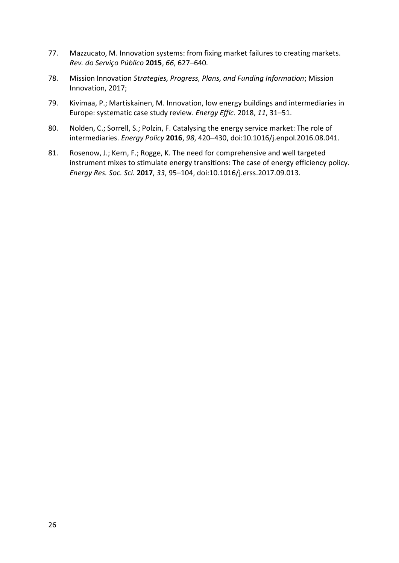- 77. Mazzucato, M. Innovation systems: from fixing market failures to creating markets. *Rev. do Serviço Público* **2015**, *66*, 627–640.
- 78. Mission Innovation *Strategies, Progress, Plans, and Funding Information*; Mission Innovation, 2017;
- 79. Kivimaa, P.; Martiskainen, M. Innovation, low energy buildings and intermediaries in Europe: systematic case study review. *Energy Effic.* 2018, *11*, 31–51.
- 80. Nolden, C.; Sorrell, S.; Polzin, F. Catalysing the energy service market: The role of intermediaries. *Energy Policy* **2016**, *98*, 420–430, doi:10.1016/j.enpol.2016.08.041.
- 81. Rosenow, J.; Kern, F.; Rogge, K. The need for comprehensive and well targeted instrument mixes to stimulate energy transitions: The case of energy efficiency policy. *Energy Res. Soc. Sci.* **2017**, *33*, 95–104, doi:10.1016/j.erss.2017.09.013.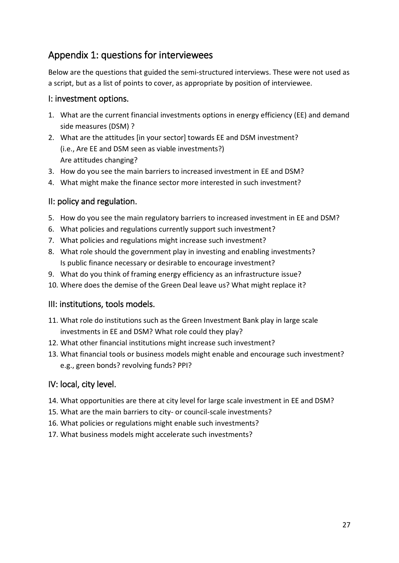# Appendix 1: questions for interviewees

Below are the questions that guided the semi-structured interviews. These were not used as a script, but as a list of points to cover, as appropriate by position of interviewee.

#### I: investment options.

- 1. What are the current financial investments options in energy efficiency (EE) and demand side measures (DSM) ?
- 2. What are the attitudes [in your sector] towards EE and DSM investment? (i.e., Are EE and DSM seen as viable investments?) Are attitudes changing?
- 3. How do you see the main barriers to increased investment in EE and DSM?
- 4. What might make the finance sector more interested in such investment?

### II: policy and regulation.

- 5. How do you see the main regulatory barriers to increased investment in EE and DSM?
- 6. What policies and regulations currently support such investment?
- 7. What policies and regulations might increase such investment?
- 8. What role should the government play in investing and enabling investments? Is public finance necessary or desirable to encourage investment?
- 9. What do you think of framing energy efficiency as an infrastructure issue?
- 10. Where does the demise of the Green Deal leave us? What might replace it?

#### III: institutions, tools models.

- 11. What role do institutions such as the Green Investment Bank play in large scale investments in EE and DSM? What role could they play?
- 12. What other financial institutions might increase such investment?
- 13. What financial tools or business models might enable and encourage such investment? e.g., green bonds? revolving funds? PPI?

#### IV: local, city level.

- 14. What opportunities are there at city level for large scale investment in EE and DSM?
- 15. What are the main barriers to city- or council-scale investments?
- 16. What policies or regulations might enable such investments?
- 17. What business models might accelerate such investments?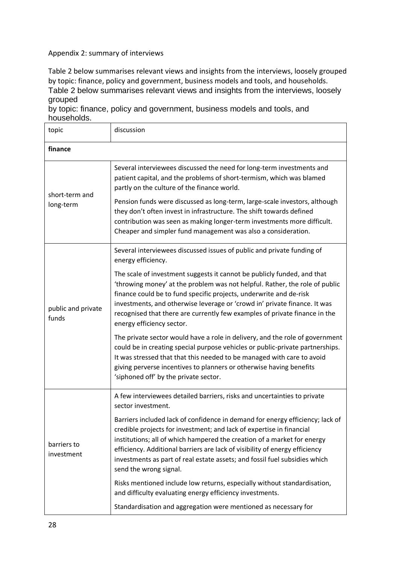#### Appendix 2: summary of interviews

Table 2 below summarises relevant views and insights from the interviews, loosely grouped by topic: finance, policy and government, business models and tools, and households. Table 2 below summarises relevant views and insights from the interviews, loosely grouped

by topic: finance, policy and government, business models and tools, and households.

| topic                       | discussion                                                                                                                                                                                                                                                                                                                                                                                                                                                                                     |  |
|-----------------------------|------------------------------------------------------------------------------------------------------------------------------------------------------------------------------------------------------------------------------------------------------------------------------------------------------------------------------------------------------------------------------------------------------------------------------------------------------------------------------------------------|--|
| finance                     |                                                                                                                                                                                                                                                                                                                                                                                                                                                                                                |  |
| short-term and<br>long-term | Several interviewees discussed the need for long-term investments and<br>patient capital, and the problems of short-termism, which was blamed<br>partly on the culture of the finance world.<br>Pension funds were discussed as long-term, large-scale investors, although<br>they don't often invest in infrastructure. The shift towards defined<br>contribution was seen as making longer-term investments more difficult.<br>Cheaper and simpler fund management was also a consideration. |  |
| public and private<br>funds | Several interviewees discussed issues of public and private funding of<br>energy efficiency.                                                                                                                                                                                                                                                                                                                                                                                                   |  |
|                             | The scale of investment suggests it cannot be publicly funded, and that<br>'throwing money' at the problem was not helpful. Rather, the role of public<br>finance could be to fund specific projects, underwrite and de-risk<br>investments, and otherwise leverage or 'crowd in' private finance. It was<br>recognised that there are currently few examples of private finance in the<br>energy efficiency sector.                                                                           |  |
|                             | The private sector would have a role in delivery, and the role of government<br>could be in creating special purpose vehicles or public-private partnerships.<br>It was stressed that that this needed to be managed with care to avoid<br>giving perverse incentives to planners or otherwise having benefits<br>'siphoned off' by the private sector.                                                                                                                                        |  |
| barriers to<br>investment   | A few interviewees detailed barriers, risks and uncertainties to private<br>sector investment.                                                                                                                                                                                                                                                                                                                                                                                                 |  |
|                             | Barriers included lack of confidence in demand for energy efficiency; lack of<br>credible projects for investment; and lack of expertise in financial<br>institutions; all of which hampered the creation of a market for energy<br>efficiency. Additional barriers are lack of visibility of energy efficiency<br>investments as part of real estate assets; and fossil fuel subsidies which<br>send the wrong signal.                                                                        |  |
|                             | Risks mentioned include low returns, especially without standardisation,<br>and difficulty evaluating energy efficiency investments.                                                                                                                                                                                                                                                                                                                                                           |  |
|                             | Standardisation and aggregation were mentioned as necessary for                                                                                                                                                                                                                                                                                                                                                                                                                                |  |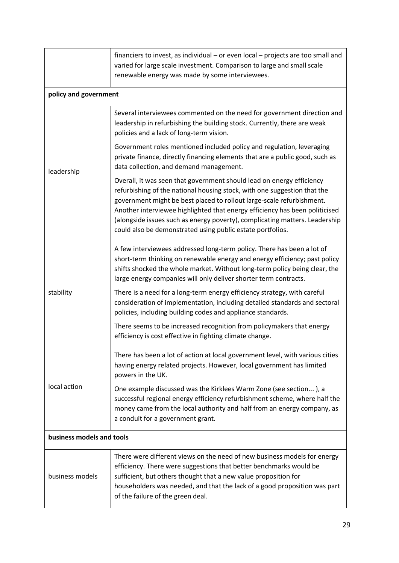|                           | financiers to invest, as individual - or even local - projects are too small and<br>varied for large scale investment. Comparison to large and small scale<br>renewable energy was made by some interviewees.                                                                                                                                                                                                                                          |  |
|---------------------------|--------------------------------------------------------------------------------------------------------------------------------------------------------------------------------------------------------------------------------------------------------------------------------------------------------------------------------------------------------------------------------------------------------------------------------------------------------|--|
| policy and government     |                                                                                                                                                                                                                                                                                                                                                                                                                                                        |  |
| leadership                | Several interviewees commented on the need for government direction and<br>leadership in refurbishing the building stock. Currently, there are weak<br>policies and a lack of long-term vision.                                                                                                                                                                                                                                                        |  |
|                           | Government roles mentioned included policy and regulation, leveraging<br>private finance, directly financing elements that are a public good, such as<br>data collection, and demand management.                                                                                                                                                                                                                                                       |  |
|                           | Overall, it was seen that government should lead on energy efficiency<br>refurbishing of the national housing stock, with one suggestion that the<br>government might be best placed to rollout large-scale refurbishment.<br>Another interviewee highlighted that energy efficiency has been politicised<br>(alongside issues such as energy poverty), complicating matters. Leadership<br>could also be demonstrated using public estate portfolios. |  |
| stability                 | A few interviewees addressed long-term policy. There has been a lot of<br>short-term thinking on renewable energy and energy efficiency; past policy<br>shifts shocked the whole market. Without long-term policy being clear, the<br>large energy companies will only deliver shorter term contracts.                                                                                                                                                 |  |
|                           | There is a need for a long-term energy efficiency strategy, with careful<br>consideration of implementation, including detailed standards and sectoral<br>policies, including building codes and appliance standards.                                                                                                                                                                                                                                  |  |
|                           | There seems to be increased recognition from policymakers that energy<br>efficiency is cost effective in fighting climate change.                                                                                                                                                                                                                                                                                                                      |  |
| local action              | There has been a lot of action at local government level, with various cities<br>having energy related projects. However, local government has limited<br>powers in the UK.                                                                                                                                                                                                                                                                            |  |
|                           | One example discussed was the Kirklees Warm Zone (see section), a<br>successful regional energy efficiency refurbishment scheme, where half the<br>money came from the local authority and half from an energy company, as<br>a conduit for a government grant.                                                                                                                                                                                        |  |
| business models and tools |                                                                                                                                                                                                                                                                                                                                                                                                                                                        |  |
| business models           | There were different views on the need of new business models for energy<br>efficiency. There were suggestions that better benchmarks would be<br>sufficient, but others thought that a new value proposition for<br>householders was needed, and that the lack of a good proposition was part<br>of the failure of the green deal.                                                                                                                    |  |